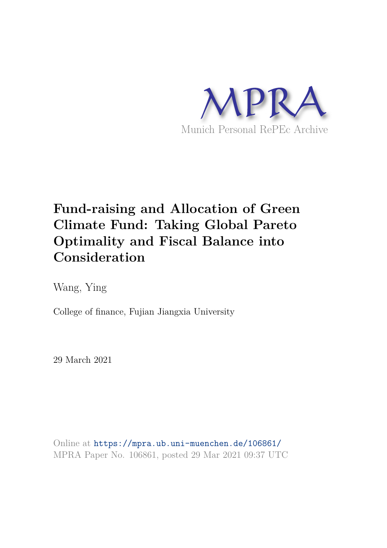

# **Fund-raising and Allocation of Green Climate Fund: Taking Global Pareto Optimality and Fiscal Balance into Consideration**

Wang, Ying

College of finance, Fujian Jiangxia University

29 March 2021

Online at https://mpra.ub.uni-muenchen.de/106861/ MPRA Paper No. 106861, posted 29 Mar 2021 09:37 UTC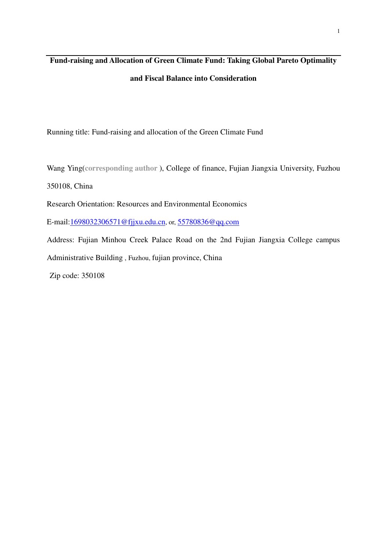# **Fund-raising and Allocation of Green Climate Fund: Taking Global Pareto Optimality**

#### **and Fiscal Balance into Consideration**

Running title: Fund-raising and allocation of the Green Climate Fund

Wang Ying(**corresponding author** ), College of finance, Fujian Jiangxia University, Fuzhou

350108, China

Research Orientation: Resources and Environmental Economics

E-mail[:1698032306571@fjjxu.edu.cn](mailto:1698032306571@fjjxu.edu.cn), or, 55780836@qq.com

Address: Fujian Minhou Creek Palace Road on the 2nd Fujian Jiangxia College campus Administrative Building , Fuzhou, fujian province, China

Zip code: 350108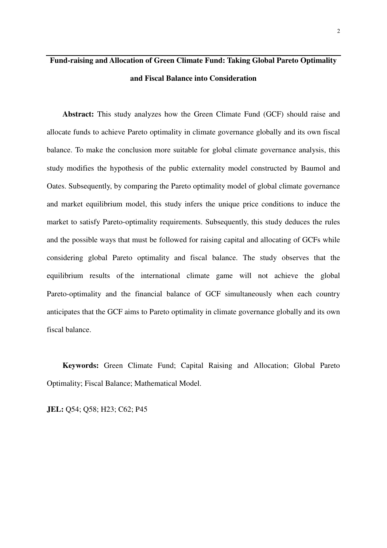## **Fund-raising and Allocation of Green Climate Fund: Taking Global Pareto Optimality and Fiscal Balance into Consideration**

**Abstract:** This study analyzes how the Green Climate Fund (GCF) should raise and allocate funds to achieve Pareto optimality in climate governance globally and its own fiscal balance. To make the conclusion more suitable for global climate governance analysis, this study modifies the hypothesis of the public externality model constructed by Baumol and Oates. Subsequently, by comparing the Pareto optimality model of global climate governance and market equilibrium model, this study infers the unique price conditions to induce the market to satisfy Pareto-optimality requirements. Subsequently, this study deduces the rules and the possible ways that must be followed for raising capital and allocating of GCFs while considering global Pareto optimality and fiscal balance. The study observes that the equilibrium results of the international climate game will not achieve the global Pareto-optimality and the financial balance of GCF simultaneously when each country anticipates that the GCF aims to Pareto optimality in climate governance globally and its own fiscal balance.

**Keywords:** Green Climate Fund; Capital Raising and Allocation; Global Pareto Optimality; Fiscal Balance; Mathematical Model.

**JEL:** Q54; Q58; H23; C62; P45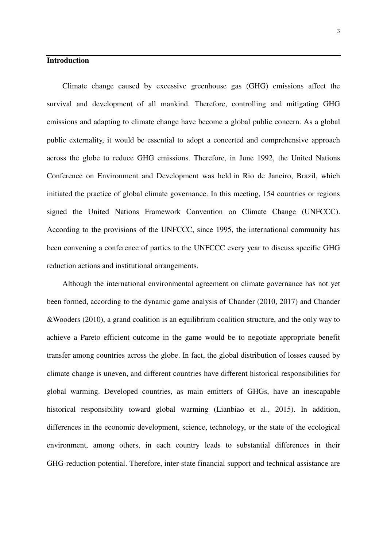#### **Introduction**

Climate change caused by excessive greenhouse gas (GHG) emissions affect the survival and development of all mankind. Therefore, controlling and mitigating GHG emissions and adapting to climate change have become a global public concern. As a global public externality, it would be essential to adopt a concerted and comprehensive approach across the globe to reduce GHG emissions. Therefore, in June 1992, the United Nations Conference on Environment and Development was held in Rio de Janeiro, Brazil, which initiated the practice of global climate governance. In this meeting, 154 countries or regions signed the United Nations Framework Convention on Climate Change (UNFCCC). According to the provisions of the UNFCCC, since 1995, the international community has been convening a conference of parties to the UNFCCC every year to discuss specific GHG reduction actions and institutional arrangements.

Although the international environmental agreement on climate governance has not yet been formed, according to the dynamic game analysis of Chander (2010, 2017) and Chander &Wooders (2010), a grand coalition is an equilibrium coalition structure, and the only way to achieve a Pareto efficient outcome in the game would be to negotiate appropriate benefit transfer among countries across the globe. In fact, the global distribution of losses caused by climate change is uneven, and different countries have different historical responsibilities for global warming. Developed countries, as main emitters of GHGs, have an inescapable historical responsibility toward global warming (Lianbiao et al., 2015). In addition, differences in the economic development, science, technology, or the state of the ecological environment, among others, in each country leads to substantial differences in their GHG-reduction potential. Therefore, inter-state financial support and technical assistance are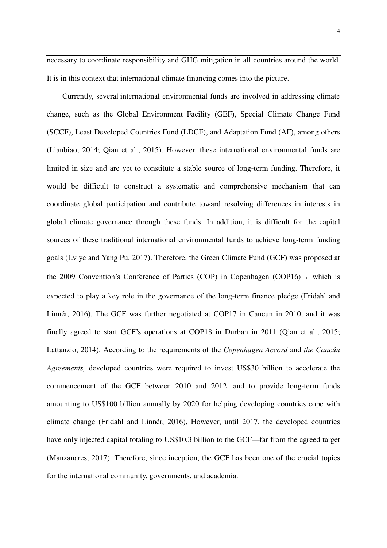necessary to coordinate responsibility and GHG mitigation in all countries around the world. It is in this context that international climate financing comes into the picture.

Currently, several international environmental funds are involved in addressing climate change, such as the Global Environment Facility (GEF), Special Climate Change Fund (SCCF), Least Developed Countries Fund (LDCF), and Adaptation Fund (AF), among others (Lianbiao, 2014; Qian et al., 2015). However, these international environmental funds are limited in size and are yet to constitute a stable source of long-term funding. Therefore, it would be difficult to construct a systematic and comprehensive mechanism that can coordinate global participation and contribute toward resolving differences in interests in global climate governance through these funds. In addition, it is difficult for the capital sources of these traditional international environmental funds to achieve long-term funding goals (Lv ye and Yang Pu, 2017). Therefore, the Green Climate Fund (GCF) was proposed at the 2009 Convention's Conference of Parties (COP) in Copenhagen (COP16), which is expected to play a key role in the governance of the long-term finance pledge (Fridahl and Linnér, 2016). The GCF was further negotiated at COP17 in Cancun in 2010, and it was finally agreed to start GCF's operations at COP18 in Durban in 2011 (Qian et al., 2015; Lattanzio, 2014). According to the requirements of the *Copenhagen Accord* and *the Cancún Agreements,* developed countries were required to invest US\$30 billion to accelerate the commencement of the GCF between 2010 and 2012, and to provide long-term funds amounting to US\$100 billion annually by 2020 for helping developing countries cope with climate change (Fridahl and Linnér, 2016). However, until 2017, the developed countries have only injected capital totaling to US\$10.3 billion to the GCF—far from the agreed target (Manzanares, 2017). Therefore, since inception, the GCF has been one of the crucial topics for the international community, governments, and academia.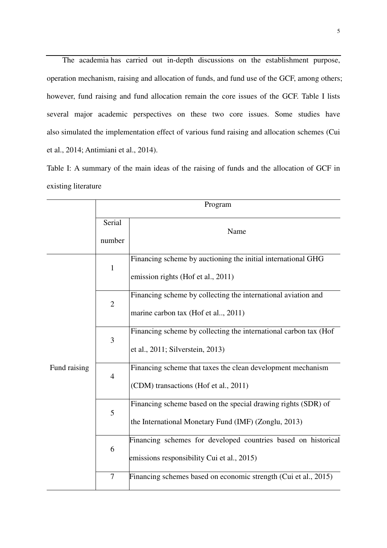The academia has carried out in-depth discussions on the establishment purpose, operation mechanism, raising and allocation of funds, and fund use of the GCF, among others; however, fund raising and fund allocation remain the core issues of the GCF. Table I lists several major academic perspectives on these two core issues. Some studies have also simulated the implementation effect of various fund raising and allocation schemes (Cui et al., 2014; Antimiani et al., 2014).

Table I: A summary of the main ideas of the raising of funds and the allocation of GCF in existing literature

|              | Program          |                                                                                                                       |  |
|--------------|------------------|-----------------------------------------------------------------------------------------------------------------------|--|
|              | Serial<br>number | Name                                                                                                                  |  |
| Fund raising | $\mathbf{1}$     | Financing scheme by auctioning the initial international GHG<br>emission rights (Hof et al., 2011)                    |  |
|              | $\overline{2}$   | Financing scheme by collecting the international aviation and<br>marine carbon tax (Hof et al, 2011)                  |  |
|              | 3                | Financing scheme by collecting the international carbon tax (Hof<br>et al., 2011; Silverstein, 2013)                  |  |
|              | $\overline{4}$   | Financing scheme that taxes the clean development mechanism<br>(CDM) transactions (Hof et al., 2011)                  |  |
|              | 5                | Financing scheme based on the special drawing rights (SDR) of<br>the International Monetary Fund (IMF) (Zonglu, 2013) |  |
|              | 6                | Financing schemes for developed countries based on historical<br>emissions responsibility Cui et al., 2015)           |  |
|              | 7                | Financing schemes based on economic strength (Cui et al., 2015)                                                       |  |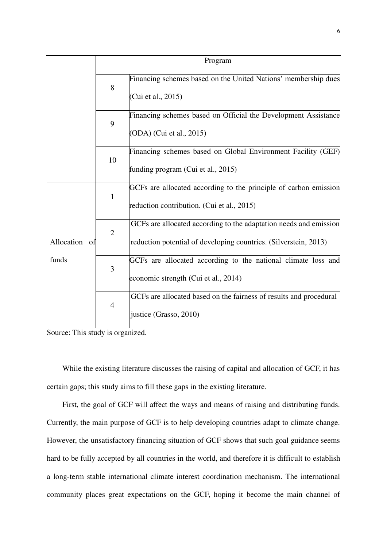|                        | Program        |                                                                                                                                       |  |
|------------------------|----------------|---------------------------------------------------------------------------------------------------------------------------------------|--|
|                        | 8              | Financing schemes based on the United Nations' membership dues<br>(Cui et al., 2015)                                                  |  |
|                        | 9              | Financing schemes based on Official the Development Assistance<br>(ODA) (Cui et al., 2015)                                            |  |
|                        | 10             | Financing schemes based on Global Environment Facility (GEF)<br>funding program (Cui et al., 2015)                                    |  |
|                        | $\mathbf{1}$   | GCFs are allocated according to the principle of carbon emission<br>reduction contribution. (Cui et al., 2015)                        |  |
| Allocation of<br>funds | $\overline{2}$ | GCFs are allocated according to the adaptation needs and emission<br>reduction potential of developing countries. (Silverstein, 2013) |  |
|                        | 3              | GCFs are allocated according to the national climate loss and<br>economic strength (Cui et al., 2014)                                 |  |
|                        | $\overline{4}$ | GCFs are allocated based on the fairness of results and procedural<br>justice (Grasso, 2010)                                          |  |

Source: This study is organized.

While the existing literature discusses the raising of capital and allocation of GCF, it has certain gaps; this study aims to fill these gaps in the existing literature.

First, the goal of GCF will affect the ways and means of raising and distributing funds. Currently, the main purpose of GCF is to help developing countries adapt to climate change. However, the unsatisfactory financing situation of GCF shows that such goal guidance seems hard to be fully accepted by all countries in the world, and therefore it is difficult to establish a long-term stable international climate interest coordination mechanism. The international community places great expectations on the GCF, hoping it become the main channel of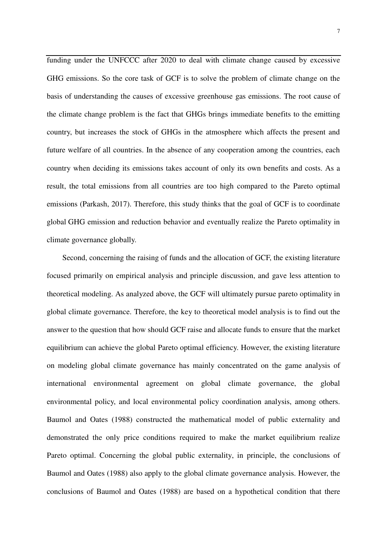funding under the UNFCCC after 2020 to deal with climate change caused by excessive GHG emissions. So the core task of GCF is to solve the problem of climate change on the basis of understanding the causes of excessive greenhouse gas emissions. The root cause of the climate change problem is the fact that GHGs brings immediate benefits to the emitting country, but increases the stock of GHGs in the atmosphere which affects the present and future welfare of all countries. In the absence of any cooperation among the countries, each country when deciding its emissions takes account of only its own benefits and costs. As a result, the total emissions from all countries are too high compared to the Pareto optimal emissions (Parkash, 2017). Therefore, this study thinks that the goal of GCF is to coordinate global GHG emission and reduction behavior and eventually realize the Pareto optimality in climate governance globally.

Second, concerning the raising of funds and the allocation of GCF, the existing literature focused primarily on empirical analysis and principle discussion, and gave less attention to theoretical modeling. As analyzed above, the GCF will ultimately pursue pareto optimality in global climate governance. Therefore, the key to theoretical model analysis is to find out the answer to the question that how should GCF raise and allocate funds to ensure that the market equilibrium can achieve the global Pareto optimal efficiency. However, the existing literature on modeling global climate governance has mainly concentrated on the game analysis of international environmental agreement on global climate governance, the global environmental policy, and local environmental policy coordination analysis, among others. Baumol and Oates (1988) constructed the mathematical model of public externality and demonstrated the only price conditions required to make the market equilibrium realize Pareto optimal. Concerning the global public externality, in principle, the conclusions of Baumol and Oates (1988) also apply to the global climate governance analysis. However, the conclusions of Baumol and Oates (1988) are based on a hypothetical condition that there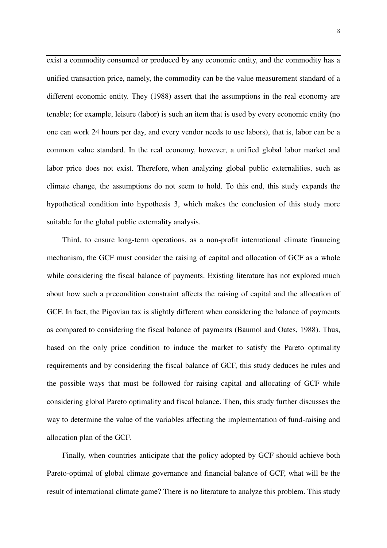exist a commodity consumed or produced by any economic entity, and the commodity has a unified transaction price, namely, the commodity can be the value measurement standard of a different economic entity. They (1988) assert that the assumptions in the real economy are tenable; for example, leisure (labor) is such an item that is used by every economic entity (no one can work 24 hours per day, and every vendor needs to use labors), that is, labor can be a common value standard. In the real economy, however, a unified global labor market and labor price does not exist. Therefore, when analyzing global public externalities, such as climate change, the assumptions do not seem to hold. To this end, this study expands the hypothetical condition into hypothesis 3, which makes the conclusion of this study more suitable for the global public externality analysis.

Third, to ensure long-term operations, as a non-profit international climate financing mechanism, the GCF must consider the raising of capital and allocation of GCF as a whole while considering the fiscal balance of payments. Existing literature has not explored much about how such a precondition constraint affects the raising of capital and the allocation of GCF. In fact, the Pigovian tax is slightly different when considering the balance of payments as compared to considering the fiscal balance of payments (Baumol and Oates, 1988). Thus, based on the only price condition to induce the market to satisfy the Pareto optimality requirements and by considering the fiscal balance of GCF, this study deduces he rules and the possible ways that must be followed for raising capital and allocating of GCF while considering global Pareto optimality and fiscal balance. Then, this study further discusses the way to determine the value of the variables affecting the implementation of fund-raising and allocation plan of the GCF.

Finally, when countries anticipate that the policy adopted by GCF should achieve both Pareto-optimal of global climate governance and financial balance of GCF, what will be the result of international climate game? There is no literature to analyze this problem. This study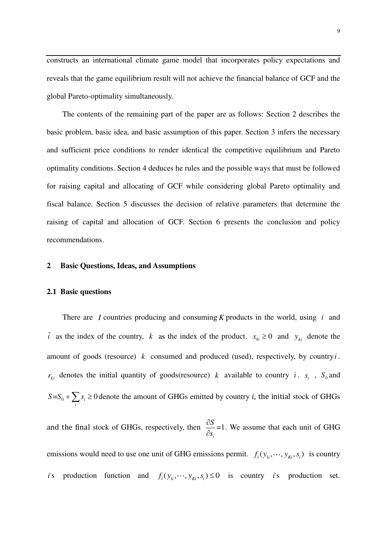constructs an international climate game model that incorporates policy expectations and reveals that the game equilibrium result will not achieve the financial balance of GCF and the global Pareto-optimality simultaneously.

The contents of the remaining part of the paper are as follows: Section 2 describes the basic problem, basic idea, and basic assumption of this paper. Section 3 infers the necessary and sufficient price conditions to render identical the competitive equilibrium and Pareto optimality conditions. Section 4 deduces he rules and the possible ways that must be followed for raising capital and allocating of GCF while considering global Pareto optimality and fiscal balance. Section 5 discusses the decision of relative parameters that determine the raising of capital and allocation of GCF. Section 6 presents the conclusion and policy recommendations.

#### **2 Basic Questions, Ideas, and Assumptions**

#### **2.1 Basic questions**

There are *I* countries producing and consuming *K* products in the world, using *i* and *i* as the index of the country, *k* as the index of the product.  $x_{ki} \ge 0$  and  $y_{ki}$  denote the amount of goods (resource) *k* consumed and produced (used), respectively, by country*i* .  $r_{ki}$  denotes the initial quantity of goods(resource) *k* available to country *i*. *s*<sub>*i*</sub>, *S*<sub>0</sub> and  $=S_0 + \sum s_i \ge 0$  $S = S_0 + \sum_i s_i \ge 0$  denote the amount of GHGs emitted by country *i*, the initial stock of GHGs and the final stock of GHGs, respectively, then  $\frac{60}{2}$ =1 *i S s*  $\partial$  $\partial$ . We assume that each unit of GHG emissions would need to use one unit of GHG emissions permit.  $f_i(y_{1i}, \dots, y_{ki}, s_i)$  is country *i*'s production function and  $f_i(y_i, \dots, y_{ki}, s_i) \le 0$  is country *i*'s production set.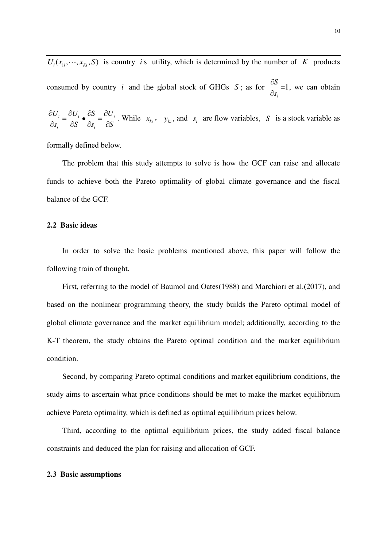$U_i(x_{i}, \dots, x_{ki}, S)$  is country *i*'s utility, which is determined by the number of *K* products consumed by country *i* and the global stock of GHGs *S*; as for  $\frac{56}{2}$ =1 *i S s*  $\hat{o}$  $\widehat{o}$ , we can obtain

$$
\frac{\partial U_i}{\partial s_i} = \frac{\partial U_i}{\partial S} \bullet \frac{\partial S}{\partial s_i} = \frac{\partial U_i}{\partial S}
$$
. While  $x_{ki}$ ,  $y_{ki}$ , and  $s_i$  are flow variables, S is a stock variable as

formally defined below.

The problem that this study attempts to solve is how the GCF can raise and allocate funds to achieve both the Pareto optimality of global climate governance and the fiscal balance of the GCF.

#### **2.2 Basic ideas**

In order to solve the basic problems mentioned above, this paper will follow the following train of thought.

First, referring to the model of Baumol and Oates(1988) and Marchiori et al.(2017), and based on the nonlinear programming theory, the study builds the Pareto optimal model of global climate governance and the market equilibrium model; additionally, according to the K-T theorem, the study obtains the Pareto optimal condition and the market equilibrium condition.

Second, by comparing Pareto optimal conditions and market equilibrium conditions, the study aims to ascertain what price conditions should be met to make the market equilibrium achieve Pareto optimality, which is defined as optimal equilibrium prices below.

Third, according to the optimal equilibrium prices, the study added fiscal balance constraints and deduced the plan for raising and allocation of GCF.

#### **2.3 Basic assumptions**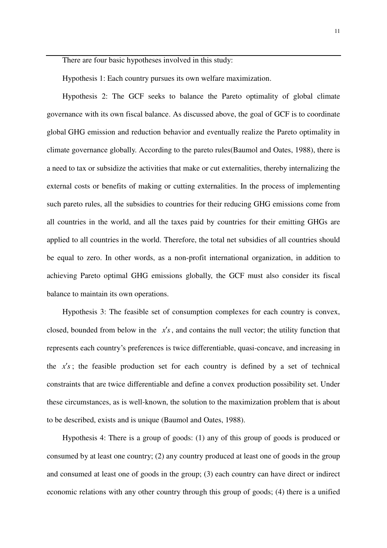There are four basic hypotheses involved in this study:

Hypothesis 1: Each country pursues its own welfare maximization.

Hypothesis 2: The GCF seeks to balance the Pareto optimality of global climate governance with its own fiscal balance. As discussed above, the goal of GCF is to coordinate global GHG emission and reduction behavior and eventually realize the Pareto optimality in climate governance globally. According to the pareto rules(Baumol and Oates, 1988), there is a need to tax or subsidize the activities that make or cut externalities, thereby internalizing the external costs or benefits of making or cutting externalities. In the process of implementing such pareto rules, all the subsidies to countries for their reducing GHG emissions come from all countries in the world, and all the taxes paid by countries for their emitting GHGs are applied to all countries in the world. Therefore, the total net subsidies of all countries should be equal to zero. In other words, as a non-profit international organization, in addition to achieving Pareto optimal GHG emissions globally, the GCF must also consider its fiscal balance to maintain its own operations.

Hypothesis 3: The feasible set of consumption complexes for each country is convex, closed, bounded from below in the  $x's$ , and contains the null vector; the utility function that represents each country's preferences is twice differentiable, quasi-concave, and increasing in the  $x's$ ; the feasible production set for each country is defined by a set of technical constraints that are twice differentiable and define a convex production possibility set. Under these circumstances, as is well-known, the solution to the maximization problem that is about to be described, exists and is unique (Baumol and Oates, 1988).

Hypothesis 4: There is a group of goods: (1) any of this group of goods is produced or consumed by at least one country; (2) any country produced at least one of goods in the group and consumed at least one of goods in the group; (3) each country can have direct or indirect economic relations with any other country through this group of goods; (4) there is a unified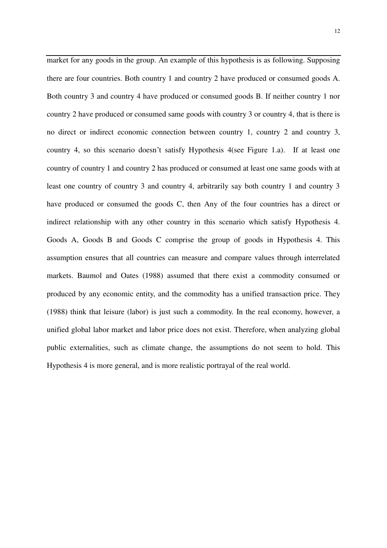market for any goods in the group. An example of this hypothesis is as following. Supposing there are four countries. Both country 1 and country 2 have produced or consumed goods A. Both country 3 and country 4 have produced or consumed goods B. If neither country 1 nor country 2 have produced or consumed same goods with country 3 or country 4, that is there is no direct or indirect economic connection between country 1, country 2 and country 3, country 4, so this scenario doesn't satisfy Hypothesis 4(see Figure 1.a). If at least one country of country 1 and country 2 has produced or consumed at least one same goods with at least one country of country 3 and country 4, arbitrarily say both country 1 and country 3 have produced or consumed the goods C, then Any of the four countries has a direct or indirect relationship with any other country in this scenario which satisfy Hypothesis 4. Goods A, Goods B and Goods C comprise the group of goods in Hypothesis 4. This assumption ensures that all countries can measure and compare values through interrelated markets. Baumol and Oates (1988) assumed that there exist a commodity consumed or produced by any economic entity, and the commodity has a unified transaction price. They (1988) think that leisure (labor) is just such a commodity. In the real economy, however, a unified global labor market and labor price does not exist. Therefore, when analyzing global public externalities, such as climate change, the assumptions do not seem to hold. This Hypothesis 4 is more general, and is more realistic portrayal of the real world.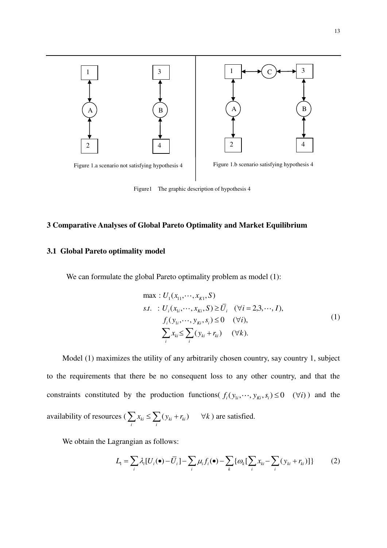

Figure1 The graphic description of hypothesis 4

#### **3 Comparative Analyses of Global Pareto Optimality and Market Equilibrium**

#### **3.1 Global Pareto optimality model**

We can formulate the global Pareto optimality problem as model (1):

max: 
$$
U_1(x_{11},...,x_{K1}, S)
$$
  
\n*s.t.* :  $U_i(x_{1i},...,x_{Ki}, S) \ge \overline{U}_i$  ( $\forall i = 2,3,..., I$ ),  
\n $f_i(y_{1i},...,y_{Ki}, s_i) \le 0$  ( $\forall i$ ),  
\n
$$
\sum_i x_{ki} \le \sum_i (y_{ki} + r_{ki})
$$
 ( $\forall k$ ). (1)

Model (1) maximizes the utility of any arbitrarily chosen country, say country 1, subject to the requirements that there be no consequent loss to any other country, and that the constraints constituted by the production functions( $f_i(y_{1i},..., y_{ki}, s_i) \le 0$  ( $\forall i$ )) and the availability of resources ( $\sum x_{ki} \leq \sum (y_{ki} + r_{ki})$  $\sum_i x_{ki} \le \sum_i (y_{ki} + r_{ki})$   $\forall k$  ) are satisfied.

We obtain the Lagrangian as follows:

$$
L_{1} = \sum_{i} \lambda_{i} [U_{i}(\bullet) - \overline{U}_{i}] - \sum_{i} \mu_{i} f_{i}(\bullet) - \sum_{k} {\{\omega_{k} [\sum_{i} x_{ki} - \sum_{i} (y_{ki} + r_{ki})]\}} \tag{2}
$$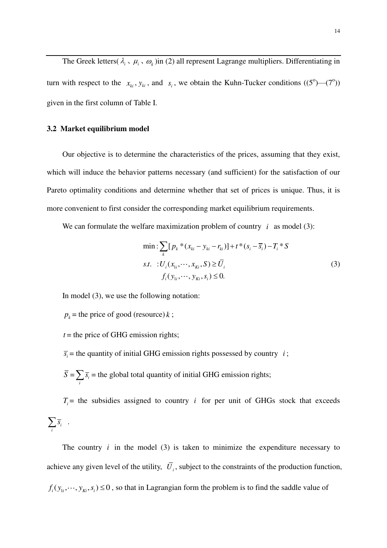The Greek letters( $\lambda_i$ ,  $\mu_i$ ,  $\omega_k$ )in (2) all represent Lagrange multipliers. Differentiating in turn with respect to the  $x_{ki}$ ,  $y_{ki}$ , and  $s_i$ , we obtain the Kuhn-Tucker conditions ((5<sup>o</sup>)–(7<sup>o</sup>)) given in the first column of Table I.

#### **3.2 Market equilibrium model**

Our objective is to determine the characteristics of the prices, assuming that they exist, which will induce the behavior patterns necessary (and sufficient) for the satisfaction of our Pareto optimality conditions and determine whether that set of prices is unique. Thus, it is more convenient to first consider the corresponding market equilibrium requirements.

We can formulate the welfare maximization problem of country  $i$  as model (3):

$$
\min: \sum_{k} [p_k * (x_{ki} - y_{ki} - r_{ki})] + t * (s_i - \overline{s}_i) - T_i * S
$$
  
s.t. 
$$
: U_i(x_{1i}, \dots, x_{Ki}, S) \ge \overline{U}_i
$$

$$
f_i(y_{1i}, \dots, y_{Ki}, s_i) \le 0.
$$
 (3)

In model (3), we use the following notation:

 $p_k$  = the price of good (resource) *k*;

 $t =$  the price of GHG emission rights;

 $\overline{s_i}$  = the quantity of initial GHG emission rights possessed by country *i*;

 $S = \sum \overline{S_i}$  $\sum_i \overline{s_i}$  = the global total quantity of initial GHG emission rights;

 $T_i$  = the subsidies assigned to country *i* for per unit of GHGs stock that exceeds *i*  $\sum_i \overline{s_i}$ .

The country  $i$  in the model (3) is taken to minimize the expenditure necessary to achieve any given level of the utility, *U<sup>i</sup>* , subject to the constraints of the production function,  $f_i(y_{1i}, \dots, y_{ki}, s_i) \leq 0$ , so that in Lagrangian form the problem is to find the saddle value of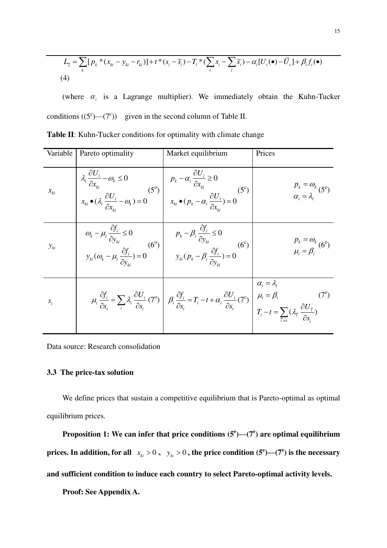$$
L_2 = \sum_{k} [p_k * (x_{ki} - y_{ki} - r_{ki})] + t * (s_i - \overline{s}_i) - T_i * (\sum_{i} s_i - \sum_{i} \overline{s}_i) - \alpha_i [U_i(\bullet) - \overline{U}_i] + \beta_i f_i(\bullet)
$$
  
(4)

(where  $\alpha_i$  is a Lagrange multiplier). We immediately obtain the Kuhn-Tucker conditions  $((5^c)$ — $(7^c)$ ) given in the second column of Table II.

| Variable | Pareto optimality | Market equilibrium                                                                                                                                                                                                                                                                                                                                                                                                                                                                                   | Prices                                                       |
|----------|-------------------|------------------------------------------------------------------------------------------------------------------------------------------------------------------------------------------------------------------------------------------------------------------------------------------------------------------------------------------------------------------------------------------------------------------------------------------------------------------------------------------------------|--------------------------------------------------------------|
| $x_{ki}$ |                   | $\begin{vmatrix} \lambda_i \frac{\partial U_i}{\partial x_{ki}} - \omega_k \le 0 \\ x_{ki} \bullet (\lambda_i \frac{\partial U_i}{\partial x_{ki}} - \omega_k) = 0 \end{vmatrix} \begin{vmatrix} p_k - \alpha_i \frac{\partial U_i}{\partial x_{ki}} \ge 0 \\ x_{ki} \bullet (p_k - \alpha_i \frac{\partial U_i}{\partial x_{ki}}) = 0 \end{vmatrix} (5^c)$                                                                                                                                          | $p_k = \omega_k$<br>$\alpha_i = \lambda_i$ (5 <sup>e</sup> ) |
| $y_{ki}$ |                   | $\omega_k - \mu_i \frac{\partial f_i}{\partial y_{ki}} \le 0$<br>$y_{ki} (\omega_k - \mu_i \frac{\partial f_i}{\partial y_{ki}}) = 0$ (6°)<br>$y_{ki} (p_k - \beta_i \frac{\partial f_i}{\partial y_{ki}}) = 0$ (6°)                                                                                                                                                                                                                                                                                 | $p_k = \omega_k$<br>$\mu_i = \beta_i$ (6 <sup>e</sup> )      |
| $S_i$    |                   | $\label{eq:2.1} \boxed{\mu_i \frac{\partial f_i}{\partial s_i} = \sum_i \lambda_i \frac{\partial U_i}{\partial s_i} (7^{\rm o}) \left  \begin{array}{c} \beta_i \frac{\partial f_i}{\partial s_i} = T_i - t + \alpha_i \frac{\partial U_i}{\partial s_i} (7^{\rm o}) \end{array} \right  \begin{array}{c} \alpha_i = \lambda_i \\ \mu_i = \beta_i \\ T_i - t = \sum_{\tilde{i} \neq i} (\lambda_{\tilde{i}} \frac{\partial U_{\tilde{i}}}{\partial s_i}) \end{array} \tag{7^{\rm o}} \label{eq:2.1}$ |                                                              |

| Table II: Kuhn-Tucker conditions for optimality with climate change |  |  |
|---------------------------------------------------------------------|--|--|
|---------------------------------------------------------------------|--|--|

Data source: Research consolidation

#### **3.3 The price-tax solution**

We define prices that sustain a competitive equilibrium that is Pareto-optimal as optimal equilibrium prices.

**Proposition 1:** We can infer that price conditions  $(5^e)$ — $(7^e)$  are optimal equilibrium **prices. In addition, for all**  $x_{ki} > 0$ ,  $y_{ki} > 0$ , the price condition (5<sup>e</sup>)—(7<sup>e</sup>) is the necessary **and sufficient condition to induce each country to select Pareto-optimal activity levels.** 

**Proof: See Appendix A.**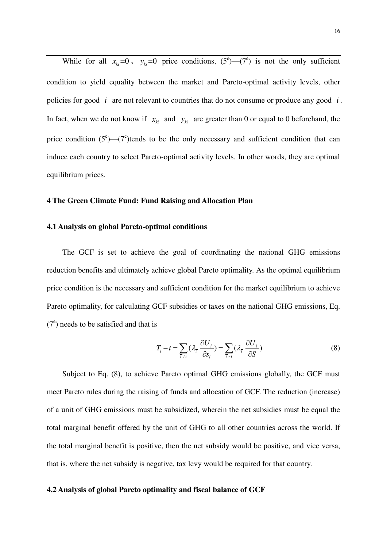While for all  $x_{ki} = 0$ ,  $y_{ki} = 0$  price conditions,  $(5^e)$ — $(7^e)$  is not the only sufficient condition to yield equality between the market and Pareto-optimal activity levels, other policies for good *i* are not relevant to countries that do not consume or produce any good *i* . In fact, when we do not know if  $x_{ki}$  and  $y_{ki}$  are greater than 0 or equal to 0 beforehand, the price condition  $(5^e)$ — $(7^e)$ tends to be the only necessary and sufficient condition that can induce each country to select Pareto-optimal activity levels. In other words, they are optimal equilibrium prices.

#### **4 The Green Climate Fund: Fund Raising and Allocation Plan**

#### **4.1 Analysis on global Pareto-optimal conditions**

The GCF is set to achieve the goal of coordinating the national GHG emissions reduction benefits and ultimately achieve global Pareto optimality. As the optimal equilibrium price condition is the necessary and sufficient condition for the market equilibrium to achieve Pareto optimality, for calculating GCF subsidies or taxes on the national GHG emissions, Eq.  $(7<sup>e</sup>)$  needs to be satisfied and that is

$$
T_i - t = \sum_{\bar{i} \neq i} (\lambda_{\bar{i}} \frac{\partial U_{\bar{i}}}{\partial s_i}) = \sum_{\bar{i} \neq i} (\lambda_{\bar{i}} \frac{\partial U_{\bar{i}}}{\partial S})
$$
(8)

Subject to Eq. (8), to achieve Pareto optimal GHG emissions globally, the GCF must meet Pareto rules during the raising of funds and allocation of GCF. The reduction (increase) of a unit of GHG emissions must be subsidized, wherein the net subsidies must be equal the total marginal benefit offered by the unit of GHG to all other countries across the world. If the total marginal benefit is positive, then the net subsidy would be positive, and vice versa, that is, where the net subsidy is negative, tax levy would be required for that country.

#### **4.2 Analysis of global Pareto optimality and fiscal balance of GCF**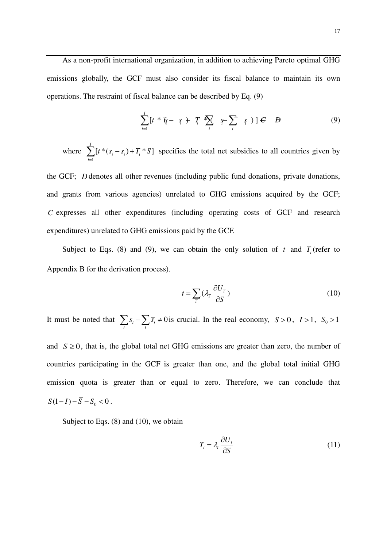As a non-profit international organization, in addition to achieving Pareto optimal GHG emissions globally, the GCF must also consider its fiscal balance to maintain its own operations. The restraint of fiscal balance can be described by Eq. (9)

$$
\sum_{i=1}^{I} \left[ t^* \overline{\mathbf{\mathfrak{F}}} - \mathbf{\mathfrak{F}} + T^* \sum_{i} \mathbf{\mathfrak{F}} - \sum_{i} \mathbf{\mathfrak{F}} \right] \mathbf{F} \quad \mathbf{B} \tag{9}
$$

where 1  $[t * (\overline{s}_{i} - s_{i}) + T_{i} * S]$ *I*  $i \rightarrow i$ <sup>*i*</sup>  $i$ *i*  $t * (\overline{s_i} - s_i) + T_i * S$  $\sum_{i=1}^{n} [t^*(\overline{s}_i - s_i) + T_i^*S]$  specifies the total net subsidies to all countries given by

the GCF; *D* denotes all other revenues (including public fund donations, private donations, and grants from various agencies) unrelated to GHG emissions acquired by the GCF; *C* expresses all other expenditures (including operating costs of GCF and research expenditures) unrelated to GHG emissions paid by the GCF.

Subject to Eqs. (8) and (9), we can obtain the only solution of  $t$  and  $T_i$  (refer to Appendix B for the derivation process).

$$
t = \sum_{\bar{i}} (\lambda_{\bar{i}} \frac{\partial U_{\bar{i}}}{\partial S})
$$
 (10)

It must be noted that  $\sum s_i - \sum \overline{s_i} \neq 0$  $\sum_i s_i - \sum_i \overline{s_i} \neq 0$  is crucial. In the real economy,  $S > 0$ ,  $I > 1$ ,  $S_0 > 1$ and  $\bar{S} \ge 0$ , that is, the global total net GHG emissions are greater than zero, the number of countries participating in the GCF is greater than one, and the global total initial GHG emission quota is greater than or equal to zero. Therefore, we can conclude that  $S(1-I) - \overline{S} - S_0 < 0$ .

Subject to Eqs. (8) and (10), we obtain

$$
T_i = \lambda_i \frac{\partial U_i}{\partial S} \tag{11}
$$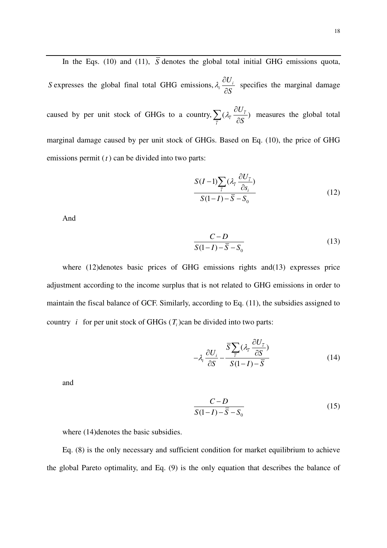In the Eqs. (10) and (11),  $\overline{S}$  denotes the global total initial GHG emissions quota, *S* expresses the global final total GHG emissions,  $\lambda_i \frac{\partial G_i}{\partial s}$ *U S*  $\lambda \stackrel{\widehat{C}}{=}$  $\widehat{o}$  specifies the marginal damage caused by per unit stock of GHGs to a country,  $\sum_{n=1}^{\infty} (\lambda_i \frac{\partial \mathbf{C}^{\top}(\mathbf{C})}{\partial \mathbf{S}^{\top}})$ *i U S*  $\lambda = \frac{\partial}{\partial x}$  $\sum_{\bar{i}} (\lambda_{\bar{i}} \frac{\partial U_{\bar{i}}}{\partial S})$  measures the global total marginal damage caused by per unit stock of GHGs. Based on Eq. (10), the price of GHG emissions permit (*t* ) can be divided into two parts:

$$
\frac{S(I-1)\sum_{\overline{i}}(\lambda_{\overline{i}}\frac{\partial U_{\overline{i}}}{\partial s_i})}{S(I-I)-\overline{S}-S_0}
$$
\n(12)

And

$$
\frac{C-D}{S(1-I)-\overline{S}-S_0}
$$
\n(13)

where (12)denotes basic prices of GHG emissions rights and(13) expresses price adjustment according to the income surplus that is not related to GHG emissions in order to maintain the fiscal balance of GCF. Similarly, according to Eq. (11), the subsidies assigned to country *i* for per unit stock of GHGs  $(T_i)$ can be divided into two parts:

$$
-\lambda_i \frac{\partial U_i}{\partial S} - \frac{\overline{S} \sum_{\overline{i}} (\lambda_{\overline{i}} \frac{\partial U_{\overline{i}}}{\partial S})}{S(1-I) - \overline{S}}
$$
(14)

and

$$
\frac{C-D}{S(1-I)-\overline{S}-S_0}
$$
 (15)

where  $(14)$ denotes the basic subsidies.

Eq. (8) is the only necessary and sufficient condition for market equilibrium to achieve the global Pareto optimality, and Eq. (9) is the only equation that describes the balance of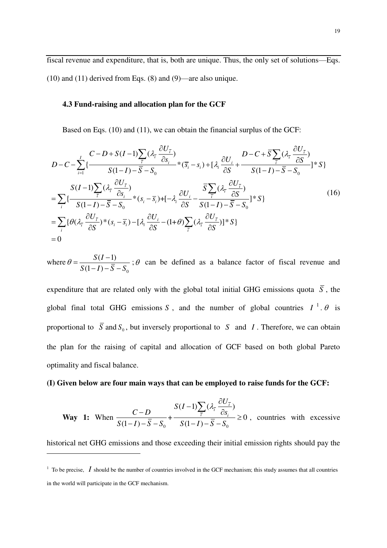fiscal revenue and expenditure, that is, both are unique. Thus, the only set of solutions—Eqs. (10) and (11) derived from Eqs. (8) and (9)—are also unique.

#### **4.3 Fund-raising and allocation plan for the GCF**

Based on Eqs. (10) and (11), we can obtain the financial surplus of the GCF:

$$
D-C-\sum_{i=1}^{I} \{\frac{C-D+S(I-1)\sum_{\bar{i}}(\lambda_{\bar{i}}\frac{\partial U_{\bar{i}}}{\partial s_{i}})}{S(1-I)-\bar{S}-S_{0}}*\overline{(s_{i}-s_{i})}+[\lambda_{i}\frac{\partial U_{i}}{\partial S}+\frac{D-C+\bar{S}\sum_{\bar{i}}(\lambda_{\bar{i}}\frac{\partial U_{\bar{i}}}{\partial S})}{S(1-I)-\bar{S}-S_{0}}]^{*}S\}
$$
\n
$$
=\sum_{i}\{\frac{S(I-1)\sum_{\bar{i}}(\lambda_{\bar{i}}\frac{\partial U_{\bar{i}}}{\partial s_{i}})}{S(1-I)-\bar{S}-S_{0}}* (s_{i}-\bar{s}_{i})+[-\lambda_{i}\frac{\partial U_{i}}{\partial S}-\frac{\bar{S}\sum_{\bar{i}}(\lambda_{\bar{i}}\frac{\partial U_{\bar{i}}}{\partial S})}{S(1-I)-\bar{S}-S_{0}}]^{*}S\}
$$
\n
$$
=\sum_{i}\{\theta(\lambda_{\bar{i}}\frac{\partial U_{\bar{i}}}{\partial S})^{*}(s_{i}-\bar{s}_{i})-[\lambda_{i}\frac{\partial U_{i}}{\partial S}-(1+\theta)\sum_{\bar{i}}(\lambda_{\bar{i}}\frac{\partial U_{\bar{i}}}{\partial S})]^{*}S\}
$$
\n
$$
=0
$$
\n(16)

where  $\mathbf{0}$  $(I-1)$  $(1-I)$ *S I*  $S(1-I) - S - S$  $\theta = \frac{S(I - )}{\sqrt{S(I - )}}$  $-I)-\overline{S} ;\theta$  can be defined as a balance factor of fiscal revenue and

expenditure that are related only with the global total initial GHG emissions quota  $\overline{S}$ , the global final total GHG emissions *S*, and the number of global countries  $I^1$ .  $\theta$  is proportional to *S* and  $S_0$ , but inversely proportional to *S* and *I*. Therefore, we can obtain the plan for the raising of capital and allocation of GCF based on both global Pareto optimality and fiscal balance.

#### **(I) Given below are four main ways that can be employed to raise funds for the GCF:**

**Way 1:** When 
$$
\frac{C-D}{S(1-I)-\overline{S}-S_0} + \frac{S(I-1)\sum_i (\lambda_i \frac{\partial U_{\overline{I}}}{\partial S_i})}{S(1-I)-\overline{S}-S_0} \ge 0
$$
, countries with excessive

historical net GHG emissions and those exceeding their initial emission rights should pay the

-

 $<sup>1</sup>$  To be precise,  $I$  should be the number of countries involved in the GCF mechanism; this study assumes that all countries</sup> in the world will participate in the GCF mechanism.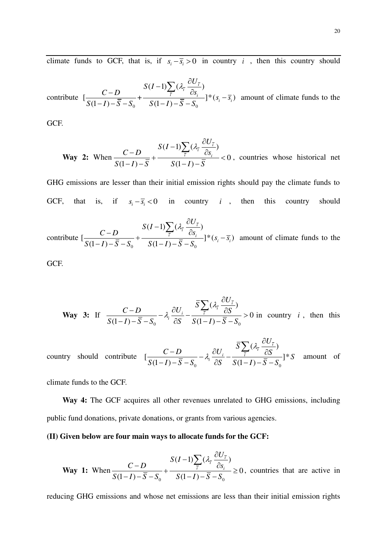climate funds to GCF, that is, if  $s_i - \overline{s}_i > 0$  in country *i*, then this country should

contribute 
$$
\left[\frac{C-D}{S(1-I)-\overline{S}-S_0}+\frac{S(I-1)\sum_{\overline{i}}(\lambda_{\overline{i}}\frac{\partial U_{\overline{i}}}{\partial s_i})}{S(1-I)-\overline{S}-S_0}\right]^*(s_i-\overline{s_i})
$$
 amount of climate funds to the

GCF.

**Way 2:** When 
$$
\frac{C-D}{S(1-I)-\overline{S}} + \frac{S(I-1)\sum_{\overline{i}}(\lambda_{\overline{i}}\frac{\partial U_{\overline{i}}}{\partial s_i})}{S(1-I)-\overline{S}} < 0
$$
, countries whose historical net

GHG emissions are lesser than their initial emission rights should pay the climate funds to GCF, that is, if  $s_i - \overline{s}_i < 0$  in country *i*, then this country should

contribute  $0 \t0$   $(1)$   $0$  $(I-1)\sum_{i}(\lambda_{\overline{i}}\frac{\partial\sigma_{i}}{\partial})$  $\left[\frac{C}{\sigma(1-\bar{x})-\bar{S}-S}+\frac{i}{\sigma(1-\bar{x})-\bar{S}-S}\right]^*(s_i-\bar{s}_i)$  $(1-I) - S - S_0$   $S(1-I)$  $\frac{26}{7}$  $\frac{\overline{i}}{\sqrt{2}} \frac{c s_i}{\sqrt{2}}$  =  $\frac{1}{2}$  \*  $(s_i - \overline{s_i})$  $S(I-1)\sum_{\tau}(\lambda_{\tau}\frac{\partial U}{\partial \tau})$  $\frac{C-D}{\sqrt{2}}$  +  $\frac{Z_i}{\sqrt{2}}$   $\frac{\partial s_i}{\partial s_j}$  +  $\frac{\partial s_i}{\partial s_j}$  =  $\frac{\partial s_i}{\partial s_j}$  =  $\frac{\partial s_i}{\partial s_j}$  $S(1-I) - S - S_0$   $S(1-I) - S - S$  $(-1)\sum (\lambda_i \frac{\partial}{\partial x_i})$  $\frac{-D}{\sqrt{2}} + \frac{2(x-1)\sqrt{2(x-1)}}{2(x-1)\sqrt{2(x-1)}}$  \*  $(s, -1)$  $-I) - \overline{S} - S_0$   $S(1-I) - \overline{S}$  $\sum$ amount of climate funds to the

GCF.

**Way 3:** If 
$$
\frac{C-D}{S(1-I)-\overline{S}-S_0}-\lambda_i\frac{\partial U_i}{\partial S}-\frac{\overline{S}\sum_i(\lambda_i\frac{\partial U_{\overline{I}}}{\partial S})}{S(1-I)-\overline{S}-S_0}>0 \text{ in country } i\text{, then this}
$$

country should contribute  $0 \t\t 0 \t\t 0 \t\t 1$   $0 \t\t 0$  $(\lambda_{\vec{i}} \frac{\partial \mathcal{O}_{i}}{\partial \mathcal{S}})$  $\left[\frac{C}{\sigma(1-\lambda)}\frac{C}{\sigma}-\lambda_i\frac{C C_i}{\sigma(1-\lambda)}-\frac{i}{\sigma(1-\lambda)}\right]^*$  $(1-I) - S - S_0$   $\partial S$   $S(1-I)$  $\frac{\partial}{\partial r}$  $i\frac{UU_i}{2C} - \frac{i}{C(1)}$  $\overline{S}\sum_{i}(\lambda_{\overline{i}}\frac{\partial U}{\partial \overline{j}})$  $\frac{C-D}{\sqrt{C}} - \lambda_i \frac{\partial U_i}{\partial S} - \frac{Z_i}{\sqrt{C}} \frac{\partial S}{\partial S}$ <sup>1</sup>  $S(1-I) - S - S_0$   $\partial S$   $S(1-I) - S - S$  $\lambda$ .  $\lambda$ .  $\widehat{o}$  $\frac{-D}{\overline{a} - \overline{a}} - \lambda_i \frac{\partial U_i}{\partial \overline{a}} - \frac{\partial L_i}{\partial \overline{a}} \frac{\partial U_i}{\partial \overline{a}}$  $-I) - \overline{S} - S_0$   $\overline{S}$   $\partial S$   $S(1-I) - \overline{S}$  - $\sum$ amount of

climate funds to the GCF.

**Way 4:** The GCF acquires all other revenues unrelated to GHG emissions, including public fund donations, private donations, or grants from various agencies.

#### **(II) Given below are four main ways to allocate funds for the GCF:**

**Way 1:** When 
$$
\frac{C-D}{S(1-I)-\overline{S}-S_0} + \frac{S(I-1)\sum_{\overline{i}}(\lambda_{\overline{i}}\frac{\partial U_{\overline{i}}}{\partial S_i})}{S(1-I)-\overline{S}-S_0} \ge 0
$$
, countries that are active in

reducing GHG emissions and whose net emissions are less than their initial emission rights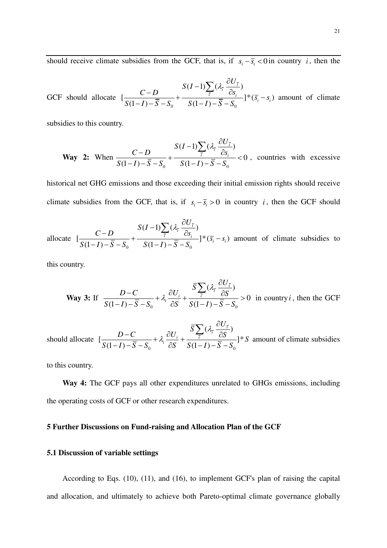should receive climate subsidies from the GCF, that is, if  $s_i - \overline{s}_i < 0$  in country *i*, then the

GCF should allocate 0 0  $(I-1)\sum_{i}(\lambda_{\overline{i}}\frac{\partial\sigma_{i}}{\partial})$  $\left[\frac{C}{\sigma(1-\bar{N})^2} + \frac{i}{\sigma(1-\bar{N})^2} + \frac{i}{\sigma(1-\bar{N})^2}\right]^* (\bar{s}_i - s_i)$  $(1-I) - S - S_0$   $S(1-I)$  $\frac{0.07}{2}$  $\frac{\overline{i}}{\sqrt{2}} \frac{c s_i}{\sqrt{2}}$  =  $\left[\frac{s_i}{s_i} - s_i\right]$  $S(I-1)\sum_{\tau}(\lambda_{\tau}\frac{\partial U}{\partial \tau})$  $\frac{C-D}{\sqrt{2}}$  +  $\frac{Z_i}{\sqrt{2}}$   $\frac{\partial S_i}{\partial S_j}$  +  $\frac{\partial S_i}{\partial S_j}$  =  $S$  $S(1-I) - S - S_0$   $S(1-I) - S - S$  $(-1)\sum (\lambda_i \frac{\partial}{\partial x_i})$  $\frac{-D}{\sqrt{2}} + \frac{2(x-1)\sqrt{2(x-1)}}{2(x-1)\sqrt{2(x-1)}}$  \*  $(\sqrt{3}, -1)$  $-I) - \overline{S} - S_0$   $S(1-I) - \overline{S}$  $\sum$ amount of climate

subsidies to this country.

**Way 2:** When 
$$
\frac{C-D}{S(1-I)-\overline{S}-S_0} + \frac{S(I-1)\sum_{\overline{i}}(\lambda_{\overline{i}}\frac{\partial U_{\overline{i}}}{\partial S_i})}{S(1-I)-\overline{S}-S_0} < 0
$$
, countries with excessive

historical net GHG emissions and those exceeding their initial emission rights should receive climate subsidies from the GCF, that is, if  $s_i - \overline{s_i} > 0$  in country *i*, then the GCF should

allocate 0 0  $(I-1)$   $\left(\lambda_{\overline{i}} \frac{\partial c_i}{\partial t}\right)$  $\left[\frac{C}{G(1-\lambda)}\frac{B}{\overline{G}} - \frac{C}{G(1-\lambda)}\frac{C}{\overline{G}}\frac{C}{G} \right]^* (\overline{S}_i - S_i)$  $(1-I) - S - S_0$   $S(1-I)$  $\frac{36}{7}$  $\frac{\overline{i}}{\sqrt{2}} \frac{c s_i}{\sqrt{2}}$  =  $\frac{1}{2}$  \*  $(\overline{s_i} - s_i)$  $S(I-1)\sum_{i}(\lambda_{\bar{i}}\frac{\partial U}{\partial x_{i}})$  $\frac{C-D}{\sqrt{S}} + \frac{C(S)-C}{\sqrt{S}} + \frac{S(S)}{S(S)-S}$  $S(1-I) - S - S_0$   $S(1-I) - S - S$  $(-1)\sum (\lambda_i \frac{\partial}{\partial x_i})$  $\frac{-D}{\overline{z} - \overline{z}} + \frac{2(z - \overline{z}) \sum_{i} \overline{z_i} \cdot \overline{z_i}}{\sqrt{z} - \overline{z} \cdot \overline{z} - \overline{z}}$  \* ( $\overline{s_i}$  –  $-I) - \overline{S} - S_0$   $S(1-I) - \overline{S}$  $\sum$ amount of climate subsidies to

this country.

**Way 3:** If 
$$
\frac{D-C}{S(1-I)-\overline{S}-S_0} + \lambda_i \frac{\partial U_i}{\partial S} + \frac{\overline{S}\sum_i (\lambda_i \frac{\partial U_{\overline{I}}}{\partial S})}{S(1-I)-\overline{S}-S_0} > 0
$$
 in country *i*, then the GCF

should allocate 0 0  $(1\ 1)\ 0\ 0$  $(\lambda_{\bar{i}} \frac{\partial \mathbf{C}_{i}}{\partial \mathbf{C}})$  $\left[\frac{D}{\sigma(1-\lambda)}\frac{\sigma}{\sigma} + \lambda_i \frac{\sigma \sigma_i}{\sigma} + \frac{i}{\sigma(1-\lambda)}\frac{\sigma D}{\sigma} \right]^*$  $(1-I) - S - S_0$   $\partial S$   $S(1-I)$  $\frac{36}{7}$  $i\frac{UU_i}{2C} + \frac{i}{C(1)}$  $\overline{S}\sum_{i}(\lambda_{\overline{i}}\frac{\partial U}{\partial \overline{j}})$  $\frac{D-C}{\sqrt{D^2-5}} + \lambda_i \frac{\partial U_i}{\partial S} + \frac{\sum_i (U_i - \partial S)^i}{\partial S}$  |\* S  $S(1-I) - S - S_0$   $\partial S$   $S(1-I) - S - S$  $\lambda$ .  $\lambda$ .  $\partial$  $\frac{-C}{\overline{a} + \lambda_i} + \lambda_i \frac{\partial U_i}{\partial a} + \frac{\partial L_i}{\partial a} + \frac{\partial L_i}{\partial a}$  $-I) - \overline{S} - S_0$   $\overline{S}$   $\partial S$   $S(1-I) - \overline{S}$  - $\sum$ amount of climate subsidies

to this country.

**Way 4:** The GCF pays all other expenditures unrelated to GHGs emissions, including the operating costs of GCF or other research expenditures.

#### **5 Further Discussions on Fund-raising and Allocation Plan of the GCF**

#### **5.1 Discussion of variable settings**

According to Eqs. (10), (11), and (16), to implement GCF's plan of raising the capital and allocation, and ultimately to achieve both Pareto-optimal climate governance globally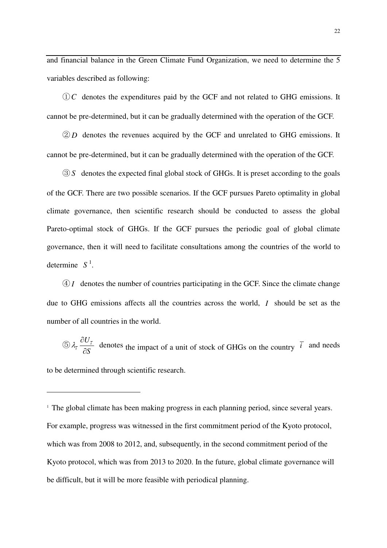and financial balance in the Green Climate Fund Organization, we need to determine the 5 variables described as following:

①*C* denotes the expenditures paid by the GCF and not related to GHG emissions. It cannot be pre-determined, but it can be gradually determined with the operation of the GCF.

② *D* denotes the revenues acquired by the GCF and unrelated to GHG emissions. It cannot be pre-determined, but it can be gradually determined with the operation of the GCF.

③ *S* denotes the expected final global stock of GHGs. It is preset according to the goals of the GCF. There are two possible scenarios. If the GCF pursues Pareto optimality in global climate governance, then scientific research should be conducted to assess the global Pareto-optimal stock of GHGs. If the GCF pursues the periodic goal of global climate governance, then it will need to facilitate consultations among the countries of the world to determine *S* 1 .

④ *I* denotes the number of countries participating in the GCF. Since the climate change due to GHG emissions affects all the countries across the world, *I* should be set as the number of all countries in the world.

 $\bigcirc$   $\lambda_{\bar{i}} \frac{\partial \mathbf{C}_{\bar{i}}}{\partial \mathbf{C}}$ *U S*  $\lambda$  =  $\frac{\partial}{\partial x}$  $\frac{\partial \vec{v}_i}{\partial S}$  denotes the impact of a unit of stock of GHGs on the country  $\vec{i}$  and needs

to be determined through scientific research.

-

<sup>&</sup>lt;sup>1</sup> The global climate has been making progress in each planning period, since several years. For example, progress was witnessed in the first commitment period of the Kyoto protocol, which was from 2008 to 2012, and, subsequently, in the second commitment period of the Kyoto protocol, which was from 2013 to 2020. In the future, global climate governance will be difficult, but it will be more feasible with periodical planning.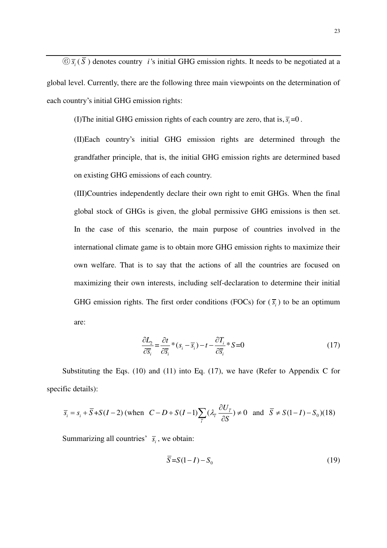$\circledS$   $\overline{s}_i$  ( $\overline{S}$ ) denotes country *i*'s initial GHG emission rights. It needs to be negotiated at a global level. Currently, there are the following three main viewpoints on the determination of each country's initial GHG emission rights:

(I)The initial GHG emission rights of each country are zero, that is,  $\overline{s_i}$  = 0.

(II)Each country's initial GHG emission rights are determined through the grandfather principle, that is, the initial GHG emission rights are determined based on existing GHG emissions of each country.

(III)Countries independently declare their own right to emit GHGs. When the final global stock of GHGs is given, the global permissive GHG emissions is then set. In the case of this scenario, the main purpose of countries involved in the international climate game is to obtain more GHG emission rights to maximize their own welfare. That is to say that the actions of all the countries are focused on maximizing their own interests, including self-declaration to determine their initial GHG emission rights. The first order conditions (FOCs) for  $(\overline{s_i})$  to be an optimum are:

$$
\frac{\partial L_2}{\partial \overline{s}_i} = \frac{\partial t}{\partial \overline{s}_i} * (s_i - \overline{s}_i) - t - \frac{\partial T_i}{\partial \overline{s}_i} * S = 0
$$
\n(17)

Substituting the Eqs. (10) and (11) into Eq. (17), we have (Refer to Appendix C for specific details):

$$
\overline{s}_{i} = s_{i} + \overline{S} + S(I - 2) \text{ (when } C - D + S(I - 1) \sum_{\overline{i}} (\lambda_{\overline{i}} \frac{\partial U_{\overline{i}}}{\partial S}) \neq 0 \text{ and } \overline{S} \neq S(I - I) - S_{0}) (18)
$$

Summarizing all countries'  $\overline{s_i}$ , we obtain:

$$
\overline{S} = S(1 - I) - S_0 \tag{19}
$$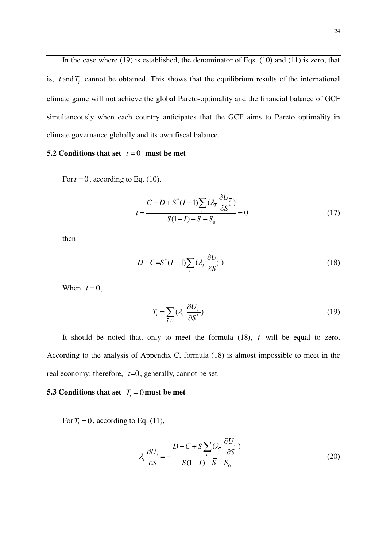In the case where (19) is established, the denominator of Eqs. (10) and (11) is zero, that is,  $t$  and  $T_i$  cannot be obtained. This shows that the equilibrium results of the international climate game will not achieve the global Pareto-optimality and the financial balance of GCF simultaneously when each country anticipates that the GCF aims to Pareto optimality in climate governance globally and its own fiscal balance.

#### **5.2 Conditions that set**  $t = 0$  must be met

For  $t = 0$ , according to Eq. (10),

$$
t = \frac{C - D + S^*(I - 1)\sum_{\bar{i}} (\lambda_{\bar{i}} \frac{\partial U_{\bar{i}}}{\partial S^*})}{S(I - I) - \bar{S} - S_0} = 0
$$
 (17)

then

$$
D - C = S^*(I - 1) \sum_{\bar{i}} (\lambda_{\bar{i}} \frac{\partial U_{\bar{i}}}{\partial S^*})
$$
\n(18)

When  $t = 0$ ,

$$
T_i = \sum_{\bar{i} \neq i} (\lambda_{\bar{i}} \frac{\partial U_{\bar{i}}}{\partial S^*})
$$
 (19)

It should be noted that, only to meet the formula (18), *t* will be equal to zero. According to the analysis of Appendix C, formula (18) is almost impossible to meet in the real economy; therefore,  $t=0$ , generally, cannot be set.

#### **5.3** Conditions that set  $T_i = 0$  must be met

For  $T_i = 0$ , according to Eq. (11),

$$
\lambda_i \frac{\partial U_i}{\partial S} = -\frac{D - C + \overline{S} \sum_{\overline{i}} (\lambda_{\overline{i}} \frac{\partial U_{\overline{i}}}{\partial S})}{S(1 - I) - \overline{S} - S_0}
$$
(20)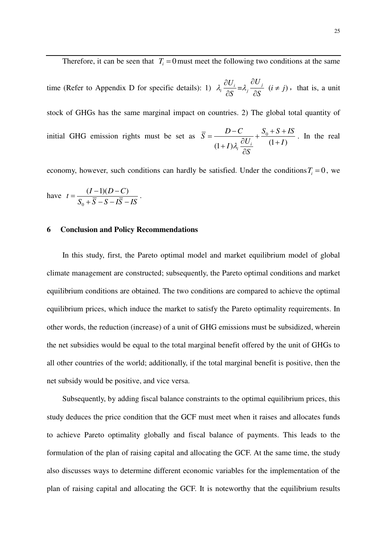Therefore, it can be seen that  $T_i = 0$  must meet the following two conditions at the same

time (Refer to Appendix D for specific details): 1)  $\lambda_i \frac{\partial U_i}{\partial S} = \lambda_j \frac{\partial U_j}{\partial S}$   $(i \neq j)$  $\frac{\partial U_i}{\partial x} = \lambda_i \frac{\partial U_j}{\partial x}$  (*i*  $\neq j$ *S S*  $\lambda_i \frac{\partial U_i}{\partial \vec{z}} = \lambda_i \frac{\partial U_j}{\partial \vec{z}}$  (*i*  $\neq$  $\partial S$   $\partial$ , that is, a unit stock of GHGs has the same marginal impact on countries. 2) The global total quantity of initial GHG emission rights must be set as  $\overline{S} = \frac{D}{\sqrt{2}L} + \frac{S_0}{2}$  $(1+I)\lambda_i \frac{\partial U_i}{\partial s}$   $(1+I)$  $\overline{S} = \frac{D - C}{2L} + \frac{S_0 + S + IS}{2L}$  $I) \lambda_i \frac{\partial U_i}{\partial S}$   $(1+I)$ *S*  $\lambda$ .  $=\frac{D-C}{(1+I)\lambda_i}\frac{S_0+S+T}{\lambda_i}}{(1+I)!}$  $\widehat{o}$ . In the real

economy, however, such conditions can hardly be satisfied. Under the conditions  $T_i = 0$ , we  $(I-1)(D-C)$ .

have 
$$
t = \frac{(I-1)(D-C)}{S_0 + \overline{S} - S - I\overline{S} - IS}
$$

#### **6 Conclusion and Policy Recommendations**

In this study, first, the Pareto optimal model and market equilibrium model of global climate management are constructed; subsequently, the Pareto optimal conditions and market equilibrium conditions are obtained. The two conditions are compared to achieve the optimal equilibrium prices, which induce the market to satisfy the Pareto optimality requirements. In other words, the reduction (increase) of a unit of GHG emissions must be subsidized, wherein the net subsidies would be equal to the total marginal benefit offered by the unit of GHGs to all other countries of the world; additionally, if the total marginal benefit is positive, then the net subsidy would be positive, and vice versa.

Subsequently, by adding fiscal balance constraints to the optimal equilibrium prices, this study deduces the price condition that the GCF must meet when it raises and allocates funds to achieve Pareto optimality globally and fiscal balance of payments. This leads to the formulation of the plan of raising capital and allocating the GCF. At the same time, the study also discusses ways to determine different economic variables for the implementation of the plan of raising capital and allocating the GCF. It is noteworthy that the equilibrium results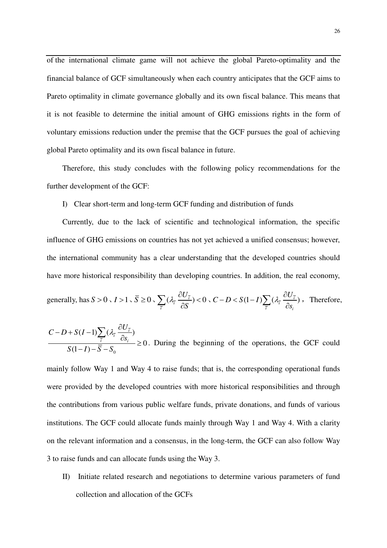of the international climate game will not achieve the global Pareto-optimality and the financial balance of GCF simultaneously when each country anticipates that the GCF aims to Pareto optimality in climate governance globally and its own fiscal balance. This means that it is not feasible to determine the initial amount of GHG emissions rights in the form of voluntary emissions reduction under the premise that the GCF pursues the goal of achieving global Pareto optimality and its own fiscal balance in future.

Therefore, this study concludes with the following policy recommendations for the further development of the GCF:

#### I) Clear short-term and long-term GCF funding and distribution of funds

Currently, due to the lack of scientific and technological information, the specific influence of GHG emissions on countries has not yet achieved a unified consensus; however, the international community has a clear understanding that the developed countries should have more historical responsibility than developing countries. In addition, the real economy,

generally, has 
$$
S > 0
$$
,  $I > 1$ ,  $\overline{S} \ge 0$ ,  $\sum_{\overline{i}} (\lambda_{\overline{i}} \frac{\partial U_{\overline{i}}}{\partial S}) < 0$ ,  $C - D < S(1 - I) \sum_{\overline{i}} (\lambda_{\overline{i}} \frac{\partial U_{\overline{i}}}{\partial s_i})$ , Therefore,

0  $(I-1)\sum_{i}(\lambda_{\overline{i}}\frac{\partial\sigma_{i}}{\partial})$  $\boldsymbol{0}$  $(1-I)$  $\frac{26}{i}$  $\bar{i}$   $\omega_{i}$  $C-D+S(I-1)\sum_{i}(\lambda_{\bar{i}}\frac{\partial U}{\partial x_{i}})$ *s*  $S(1-I)-S-S$  $-D+S(I-1)\sum_{i}(\lambda_i-\frac{\widehat{O}}{I})$  $\frac{\partial s_i}{\partial s_j} \geq$  $-I)-\overline{S} \sum$ . During the beginning of the operations, the GCF could

mainly follow Way 1 and Way 4 to raise funds; that is, the corresponding operational funds were provided by the developed countries with more historical responsibilities and through the contributions from various public welfare funds, private donations, and funds of various institutions. The GCF could allocate funds mainly through Way 1 and Way 4. With a clarity on the relevant information and a consensus, in the long-term, the GCF can also follow Way 3 to raise funds and can allocate funds using the Way 3.

II) Initiate related research and negotiations to determine various parameters of fund collection and allocation of the GCFs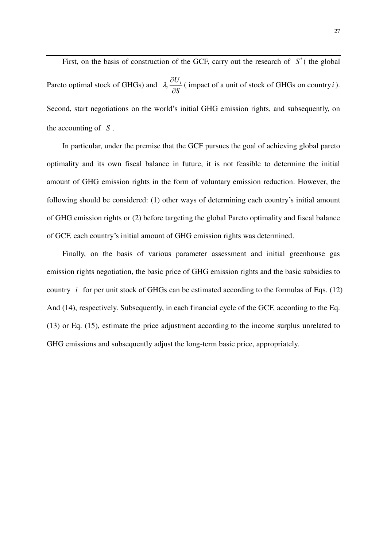First, on the basis of construction of the GCF, carry out the research of  $S^*$  (the global Pareto optimal stock of GHGs) and  $\lambda_i \frac{\partial G_i}{\partial s}$ *U S*  $\lambda \stackrel{\partial}{=}$  $\widehat{o}$ ( impact of a unit of stock of GHGs on country*i* ). Second, start negotiations on the world's initial GHG emission rights, and subsequently, on the accounting of  $\overline{S}$ .

In particular, under the premise that the GCF pursues the goal of achieving global pareto optimality and its own fiscal balance in future, it is not feasible to determine the initial amount of GHG emission rights in the form of voluntary emission reduction. However, the following should be considered: (1) other ways of determining each country's initial amount of GHG emission rights or (2) before targeting the global Pareto optimality and fiscal balance of GCF, each country's initial amount of GHG emission rights was determined.

Finally, on the basis of various parameter assessment and initial greenhouse gas emission rights negotiation, the basic price of GHG emission rights and the basic subsidies to country *i* for per unit stock of GHGs can be estimated according to the formulas of Eqs. (12) And (14), respectively. Subsequently, in each financial cycle of the GCF, according to the Eq. (13) or Eq. (15), estimate the price adjustment according to the income surplus unrelated to GHG emissions and subsequently adjust the long-term basic price, appropriately.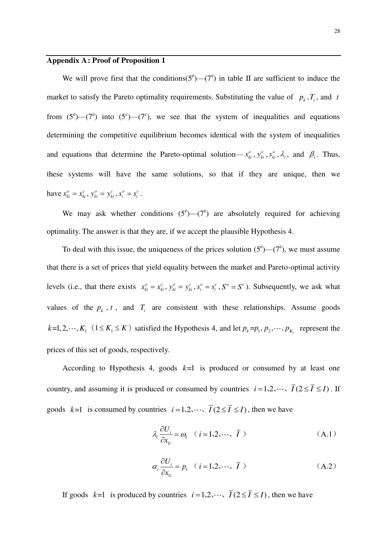#### **Appendix A : Proof of Proposition 1**

We will prove first that the conditions( $5^\circ$ )— $(7^\circ)$  in table II are sufficient to induce the market to satisfy the Pareto optimality requirements. Substituting the value of  $p_k, T_i$ , and *t* from  $(5^e)$ — $(7^e)$  into  $(5^e)$ — $(7^e)$ , we see that the system of inequalities and equations determining the competitive equilibrium becomes identical with the system of inequalities and equations that determine the Pareto-optimal solution— $x_{ki}^o$ ,  $y_{ki}^o$ ,  $s_{ki}^o$ ,  $\lambda_i$ , and  $\beta_i$ . Thus, these systems will have the same solutions, so that if they are unique, then we have  $x_{ki}^o = x_{ki}^c$ ,  $y_{ki}^o = y_{ki}^c$ ,  $s_i^o = s_i^c$ .

We may ask whether conditions  $(5^e)$ — $(7^e)$  are absolutely required for achieving optimality. The answer is that they are, if we accept the plausible Hypothesis 4.

To deal with this issue, the uniqueness of the prices solution  $(5^e)$ — $(7^e)$ , we must assume that there is a set of prices that yield equality between the market and Pareto-optimal activity levels (i.e., that there exists  $x_{ki}^o = x_{ki}^c$ ,  $y_{ki}^o = y_{ki}^c$ ,  $s_i^o = s_i^c$ ,  $S^o = S^c$ ). Subsequently, we ask what values of the  $p_k$ ,  $t$ , and  $T_i$  are consistent with these relationships. Assume goods  $k=1, 2, \dots, K_1 \ (1 \leq K_1 \leq K)$  satisfied the Hypothesis 4, and let  $p_k = p_1, p_2, \dots, p_{K_1}$  represent the prices of this set of goods, respectively.

According to Hypothesis 4, goods  $k=1$  is produced or consumed by at least one country, and assuming it is produced or consumed by countries  $i = 1, 2, \dots, \overline{I}(2 \leq \overline{I} \leq I)$ . If goods  $k=1$  is consumed by countries  $i=1,2,\dots$ ,  $\overline{I}(2 \leq \overline{I} \leq I)$ , then we have

$$
\lambda_i \frac{\partial U_i}{\partial x_{1i}} = \omega_1 \quad (i = 1, 2, \cdots, \overline{I})
$$
 (A.1)

$$
\alpha_i \frac{\partial U_i}{\partial x_{1i}} = p_1 \quad (i = 1, 2, \cdots, \overline{I})
$$
 (A.2)

If goods  $k=1$  is produced by countries  $i=1,2,\dots, \overline{I}(2 \leq \overline{I} \leq I)$ , then we have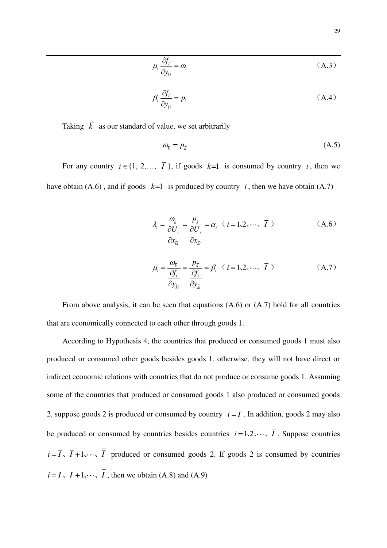$$
\mu_i \frac{\partial f_i}{\partial y_{1i}} = \omega_1 \tag{A.3}
$$

$$
\beta_i \frac{\partial f_i}{\partial y_{1i}} = p_1 \tag{A.4}
$$

Taking  $\overline{k}$  as our standard of value, we set arbitrarily

$$
\omega_{\overline{k}} = p_{\overline{k}} \tag{A.5}
$$

For any country  $i \in \{1, 2,..., T\}$ , if goods  $k=1$  is consumed by country *i*, then we have obtain (A.6), and if goods  $k=1$  is produced by country *i*, then we have obtain (A.7)

$$
\lambda_{i} = \frac{\omega_{\bar{k}}}{\frac{\partial U_{i}}{\partial x_{\bar{k}}}} = \frac{p_{\bar{k}}}{\frac{\partial U_{i}}{\partial x_{\bar{k}}}} = \alpha_{i} \quad (i = 1, 2, \cdots, \bar{I})
$$
\n(A.6)\n
$$
\mu_{i} = \frac{\omega_{\bar{k}}}{\frac{\partial f_{i}}{\partial y_{\bar{k}}}} = \frac{p_{\bar{k}}}{\frac{\partial f_{i}}{\partial y_{\bar{k}}}} = \beta_{i} \quad (i = 1, 2, \cdots, \bar{I})
$$
\n(A.7)

From above analysis, it can be seen that equations (A.6) or (A.7) hold for all countries that are economically connected to each other through goods 1.

According to Hypothesis 4, the countries that produced or consumed goods 1 must also produced or consumed other goods besides goods 1, otherwise, they will not have direct or indirect economic relations with countries that do not produce or consume goods 1. Assuming some of the countries that produced or consumed goods 1 also produced or consumed goods 2, suppose goods 2 is produced or consumed by country  $i = \overline{I}$ . In addition, goods 2 may also be produced or consumed by countries besides countries  $i = 1, 2, \dots, \overline{I}$ . Suppose countries  $i = \overline{I}$ ,  $\overline{I} + 1$ ,  $\cdots$ ,  $\overline{I}$  produced or consumed goods 2. If goods 2 is consumed by countries  $i = \overline{I}$ ,  $\overline{I} + 1$ ,  $\cdots$ ,  $\overline{I}$ , then we obtain (A.8) and (A.9)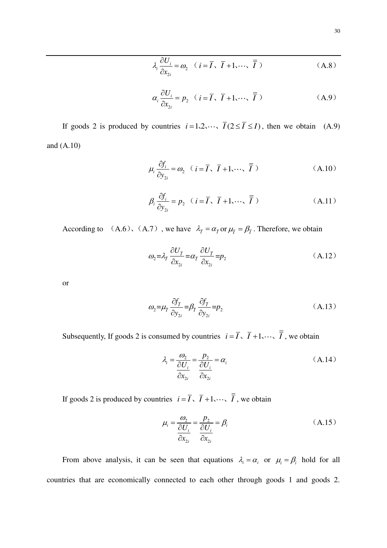$$
\lambda_i \frac{\partial U_i}{\partial x_{2i}} = \omega_2 \quad (i = \overline{I}, \ \overline{I} + 1, \dots, \ \overline{\overline{I}} )
$$
 (A.8)

$$
\alpha_i \frac{\partial U_i}{\partial x_{2i}} = p_2 \quad (i = \overline{I}, \ \overline{I} + 1, \dots, \ \overline{\overline{I}} \ )
$$
 (A.9)

If goods 2 is produced by countries  $i = 1, 2, \dots, \overline{I}(2 \leq \overline{I} \leq I)$ , then we obtain (A.9) and (A.10)

$$
\mu_i \frac{\partial f_i}{\partial y_{2i}} = \omega_2 \quad (i = \overline{I}, \ \overline{I} + 1, \dots, \ \overline{\overline{I}})
$$
 (A.10)

$$
\beta_i \frac{\partial f_i}{\partial y_{2i}} = p_2 \quad (i = \overline{I}, \ \overline{I} + 1, \dots, \ \overline{\overline{I}})
$$
\n(A.11)

According to  $(A.6)$ ,  $(A.7)$ , we have  $\lambda_{\bar{I}} = \alpha_{\bar{I}}$  or  $\mu_{\bar{I}} = \beta_{\bar{I}}$ . Therefore, we obtain

$$
\omega_2 = \lambda_{\overline{I}} \frac{\partial U_{\overline{I}}}{\partial x_{2i}} = \alpha_{\overline{I}} \frac{\partial U_{\overline{I}}}{\partial x_{2i}} = p_2
$$
\n(A.12)

or

$$
\omega_2 = \mu_{\bar{I}} \frac{\partial f_{\bar{I}}}{\partial y_{2i}} = \beta_{\bar{I}} \frac{\partial f_{\bar{I}}}{\partial y_{2i}} = p_2
$$
\n(A.13)

Subsequently, If goods 2 is consumed by countries  $i = \overline{I}$ ,  $\overline{I} + 1$ ,  $\cdots$ ,  $\overline{\overline{I}}$ , we obtain

$$
\lambda_i = \frac{\omega_2}{\frac{\partial U_i}{\partial x_{2i}}} = \frac{p_2}{\frac{\partial U_i}{\partial x_{2i}}} = \alpha_i
$$
\n(A.14)

If goods 2 is produced by countries  $i = \overline{I}$ ,  $\overline{I} + 1$ ,  $\cdots$ ,  $\overline{\overline{I}}$ , we obtain

$$
\mu_i = \frac{\omega_2}{\frac{\partial U_i}{\partial x_{2i}}} = \frac{p_2}{\frac{\partial U_i}{\partial x_{2i}}} = \beta_i
$$
\n(A.15)

From above analysis, it can be seen that equations  $\lambda_i = \alpha_i$  or  $\mu_i = \beta_i$  hold for all countries that are economically connected to each other through goods 1 and goods 2.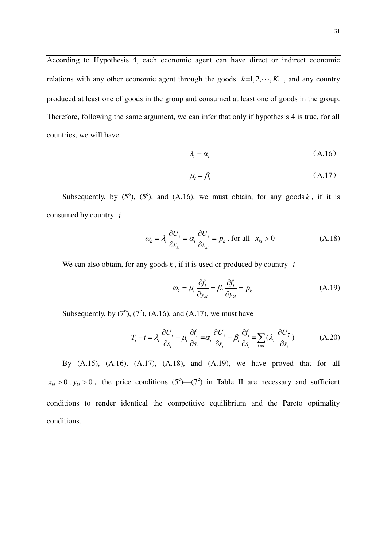According to Hypothesis 4, each economic agent can have direct or indirect economic relations with any other economic agent through the goods  $k=1, 2, \dots, K_1$ , and any country produced at least one of goods in the group and consumed at least one of goods in the group. Therefore, following the same argument, we can infer that only if hypothesis 4 is true, for all countries, we will have

$$
\lambda_i = \alpha_i \tag{A.16}
$$

$$
\mu_i = \beta_i \tag{A.17}
$$

Subsequently, by  $(5^{\circ})$ ,  $(5^{\circ})$ , and  $(A.16)$ , we must obtain, for any goods k, if it is consumed by country *i*

$$
\omega_k = \lambda_i \frac{\partial U_i}{\partial x_{ki}} = \alpha_i \frac{\partial U_i}{\partial x_{ki}} = p_k, \text{ for all } x_{ki} > 0 \tag{A.18}
$$

We can also obtain, for any goods  $k$ , if it is used or produced by country  $i$ 

$$
\omega_k = \mu_i \frac{\partial f_i}{\partial y_{ki}} = \beta_i \frac{\partial f_i}{\partial y_{ki}} = p_k
$$
\n(A.19)

Subsequently, by  $(7^{\circ})$ ,  $(7^{\circ})$ ,  $( A.16)$ , and  $( A.17)$ , we must have

$$
T_i - t = \lambda_i \frac{\partial U_i}{\partial s_i} - \mu_i \frac{\partial f_i}{\partial s_i} = \alpha_i \frac{\partial U_i}{\partial s_i} - \beta_i \frac{\partial f_i}{\partial s_i} = \sum_{\bar{i} \neq i} (\lambda_{\bar{i}} \frac{\partial U_{\bar{i}}}{\partial s_i})
$$
(A.20)

By  $(A.15)$ ,  $(A.16)$ ,  $(A.17)$ ,  $(A.18)$ , and  $(A.19)$ , we have proved that for all  $x_{ki} > 0$ ,  $y_{ki} > 0$ , the price conditions (5<sup>e</sup>)—(7<sup>e</sup>) in Table II are necessary and sufficient conditions to render identical the competitive equilibrium and the Pareto optimality conditions.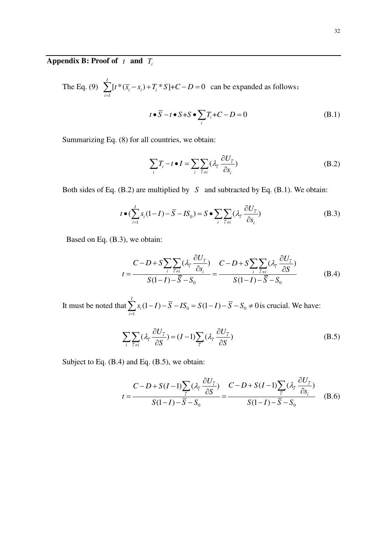### **Appendix B: Proof of** *t* **and** *T<sup>i</sup>*

The Eq. (9) 1  $[t * (\overline{s_i} - s_i) + T_i * S] + C - D = 0$ *I*  $i \rightarrow i$ <sup>*i*</sup>  $\rightarrow$  *i i*  $t * (\overline{s_i} - s_i) + T_i * S$  ]+ *C* – *D*  $\sum_{i=1} [t \cdot (\overline{s}_i - s_i) + T_i \cdot S] + C - D = 0$  can be expanded as follows:

$$
t \bullet \overline{S} - t \bullet S + S \bullet \sum_{i} T_i + C - D = 0
$$
 (B.1)

Summarizing Eq. (8) for all countries, we obtain:

$$
\sum_{i} T_{i} - t \bullet I = \sum_{i} \sum_{\overline{i} \neq i} (\lambda_{\overline{i}} \frac{\partial U_{\overline{i}}}{\partial s_{i}})
$$
(B.2)

Both sides of Eq. (B.2) are multiplied by *S* and subtracted by Eq. (B.1). We obtain:

$$
t \bullet (\sum_{i=1}^{I} s_i (1-I) - \overline{S} - IS_0) = S \bullet \sum_{i} \sum_{\overline{i} \neq i} (\lambda_{\overline{i}} \frac{\partial U_{\overline{i}}}{\partial s_i})
$$
(B.3)

Based on Eq. (B.3), we obtain:

$$
t = \frac{C - D + S \sum_{i} \sum_{\bar{i} \neq i} (\lambda_{\bar{i}} \frac{\partial U_{\bar{i}}}{\partial s_i})}{S(1 - I) - \bar{S} - S_0} = \frac{C - D + S \sum_{i} \sum_{\bar{i} \neq i} (\lambda_{\bar{i}} \frac{\partial U_{\bar{i}}}{\partial S})}{S(1 - I) - \bar{S} - S_0}
$$
(B.4)

It must be noted that  $\sum s_i(1-I) - S - IS_0 = S(1-I) - S - S_0$ 1  $(1-I) - S - IS_0 = S(1-I) - S - S_0 \neq 0$ *I i i*  $s_i(1-I) - S - IS_0 = S(1-I) - S - S$  $\sum_{i=1}$   $s_i(1-I) - \overline{S} - IS_0 = S(1-I) - \overline{S} - S_0 \neq 0$  is crucial. We have:

$$
\sum_{i} \sum_{\bar{i} \neq i} (\lambda_{\bar{i}} \frac{\partial U_{\bar{i}}}{\partial S}) = (I - 1) \sum_{\bar{i}} (\lambda_{\bar{i}} \frac{\partial U_{\bar{i}}}{\partial S})
$$
(B.5)

Subject to Eq. (B.4) and Eq. (B.5), we obtain:

$$
t = \frac{C - D + S(I - 1)\sum_{\bar{i}} (\lambda_{\bar{i}} \frac{\partial U_{\bar{i}}}{\partial S})}{S(I - I) - \bar{S} - S_0} = \frac{C - D + S(I - 1)\sum_{\bar{i}} (\lambda_{\bar{i}} \frac{\partial U_{\bar{i}}}{\partial S_i})}{S(I - I) - \bar{S} - S_0}
$$
(B.6)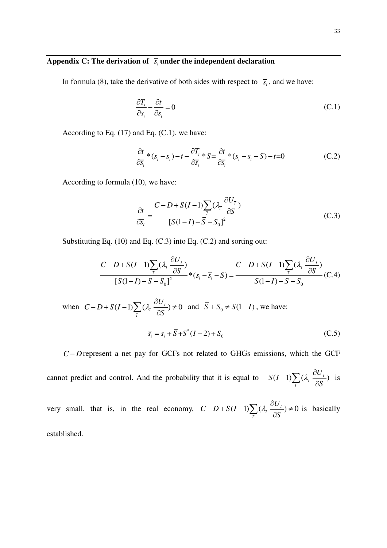#### Appendix C: The derivation of  $\bar{s}_i$  under the independent declaration

In formula (8), take the derivative of both sides with respect to  $\bar{s}_i$ , and we have:

$$
\frac{\partial T_i}{\partial \overline{s}_i} - \frac{\partial t}{\partial \overline{s}_i} = 0 \tag{C.1}
$$

According to Eq.  $(17)$  and Eq.  $(C.1)$ , we have:

$$
\frac{\partial t}{\partial \overline{s}_i} * (s_i - \overline{s}_i) - t - \frac{\partial T_i}{\partial \overline{s}_i} * S = \frac{\partial t}{\partial \overline{s}_i} * (s_i - \overline{s}_i - S) - t = 0
$$
 (C.2)

According to formula (10), we have:

$$
\frac{\partial t}{\partial \overline{s}_i} = \frac{C - D + S(I - 1) \sum_{\overline{i}} (\lambda_{\overline{i}} \frac{\partial U_{\overline{i}}}{\partial S})}{[S(I - I) - \overline{S} - S_0]^2}
$$
(C.3)

Substituting Eq. (10) and Eq. (C.3) into Eq. (C.2) and sorting out:

$$
\frac{C-D+S(I-1)\sum_{\bar{i}}(\lambda_{\bar{i}}\frac{\partial U_{\bar{i}}}{\partial S})}{[S(I-I)-\bar{S}-S_0]^2}*(s_i-\bar{s}_i-S)=\frac{C-D+S(I-1)\sum_{\bar{i}}(\lambda_{\bar{i}}\frac{\partial U_{\bar{i}}}{\partial S})}{S(I-I)-\bar{S}-S_0}(C.4)
$$

when  $C - D + S(I-1) \sum (\lambda_i \frac{\partial C_i}{\partial S_i}) \neq 0$ *i*  $C-D+S(I-1)\sum_{i}(\lambda_i \frac{\partial U}{\partial S_i})$ *S*  $-D+ S(I-1)\sum_{i}(\lambda_{\overline{i}}\frac{\partial U_{\overline{i}}}{\partial z})\neq$  $\sum_{\overline{i}} (\lambda_{\overline{i}} \frac{\partial U_{\overline{i}}}{\partial S}) \neq 0$  and  $\overline{S} + S_0 \neq S(1-I)$ , we have:  $\overline{s_i} = s_i + \overline{S} + S^*(I - 2) + S_0$  (C.5)

 $C-D$  represent a net pay for GCFs not related to GHGs emissions, which the GCF

cannot predict and control. And the probability that it is equal to  $-S(I-1)\sum (\lambda_i \frac{\partial \sigma_i}{\partial s})$ *i*  $S(I-1)\sum_{\tau}(\lambda_{\tau} \frac{\partial U}{\partial \tau})$ *S*  $-S(I-1)\sum (\lambda_{\tau} \frac{\widehat{C}}{2})$  $\sum_{\bar{i}} (\lambda_{\bar{i}} \frac{\partial U_{\bar{i}}}{\partial S})$  is

very small, that is, in the real economy,  $C-D+S(I-1)\sum_{i}(\lambda_i\frac{\partial\sigma_i}{\partial s_i})\neq 0$ *i*  $C-D+S(I-1)\sum_{i}(\lambda_i \frac{\partial U}{\partial I}$ *S*  $-D+S(I-1)\sum_{i}(\lambda_{\overline{i}}\frac{\partial U_{\overline{i}}}{\partial z})\neq$  $\sum_{\bar{i}} (\lambda_{\bar{i}} \frac{\partial U_{\bar{i}}}{\partial S}) \neq 0$  is basically established.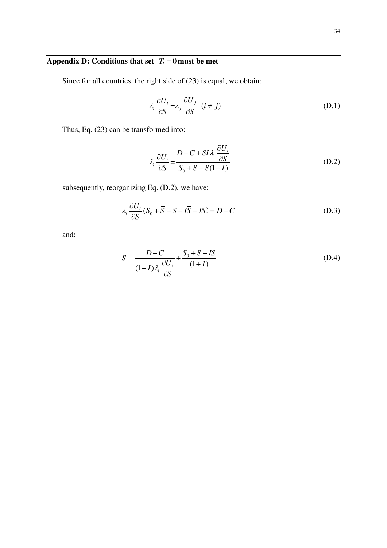## **Appendix D: Conditions that set**  $T_i = 0$  **must be met**

Since for all countries, the right side of (23) is equal, we obtain:

$$
\lambda_i \frac{\partial U_i}{\partial S} = \lambda_j \frac{\partial U_j}{\partial S} \quad (i \neq j)
$$
 (D.1)

Thus, Eq. (23) can be transformed into:

$$
\lambda_i \frac{\partial U_i}{\partial S} = \frac{D - C + \overline{S}I\lambda_i \frac{\partial U_i}{\partial S}}{S_0 + \overline{S} - S(1 - I)}
$$
(D.2)

subsequently, reorganizing Eq. (D.2), we have:

$$
\lambda_i \frac{\partial U_i}{\partial S} (S_0 + \overline{S} - S - I\overline{S} - IS) = D - C
$$
 (D.3)

and:

$$
\overline{S} = \frac{D - C}{(1 + I)\lambda_i \frac{\partial U_i}{\partial S} + \frac{S_0 + S + IS}{(1 + I)}}
$$
(D.4)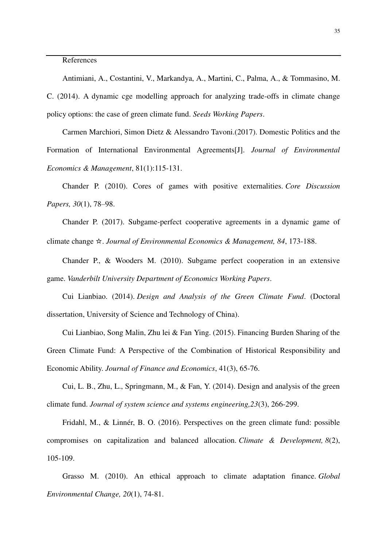#### References

Antimiani, A., Costantini, V., Markandya, A., Martini, C., Palma, A., & Tommasino, M. C. (2014). A dynamic cge modelling approach for analyzing trade-offs in climate change policy options: the case of green climate fund. *Seeds Working Papers*.

Carmen Marchiori, Simon Dietz & Alessandro Tavoni.(2017). Domestic Politics and the Formation of International Environmental Agreements[J]. *Journal of Environmental Economics & Management*, 81(1):115-131.

Chander P. (2010). Cores of games with positive externalities. *Core Discussion Papers, 30*(1), 78–98.

Chander P. (2017). Subgame-perfect cooperative agreements in a dynamic game of climate change ☆. *Journal of Environmental Economics & Management, 84*, 173-188.

Chander P., & Wooders M. (2010). Subgame perfect cooperation in an extensive game. *Vanderbilt University Department of Economics Working Papers*.

Cui Lianbiao. (2014). *Design and Analysis of the Green Climate Fund*. (Doctoral dissertation, University of Science and Technology of China).

Cui Lianbiao, Song Malin, Zhu lei & Fan Ying. (2015). Financing Burden Sharing of the Green Climate Fund: A Perspective of the Combination of Historical Responsibility and Economic Ability. *Journal of Finance and Economics*, 41(3), 65-76.

Cui, L. B., Zhu, L., Springmann, M., & Fan, Y. (2014). Design and analysis of the green climate fund. *Journal of system science and systems engineering,23*(3), 266-299.

Fridahl, M., & Linnér, B. O. (2016). Perspectives on the green climate fund: possible compromises on capitalization and balanced allocation. *Climate & Development, 8*(2), 105-109.

Grasso M. (2010). An ethical approach to climate adaptation finance. *Global Environmental Change, 20*(1), 74-81.